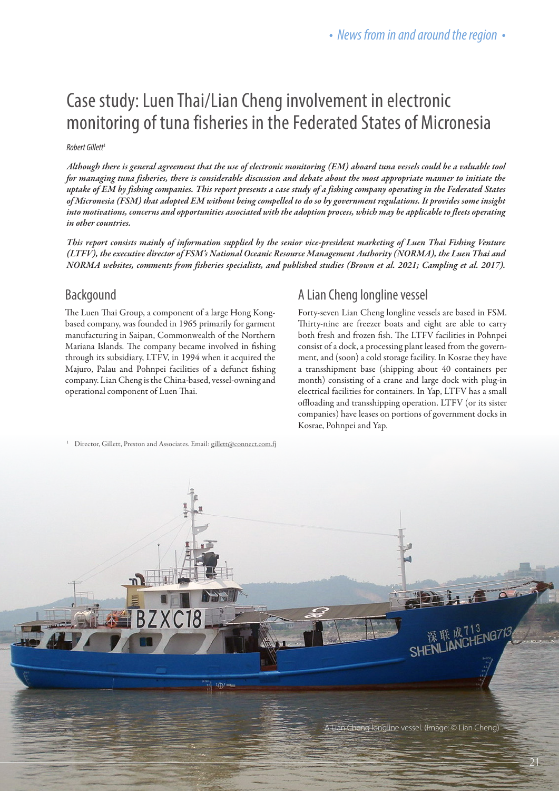# Case study: Luen Thai/Lian Cheng involvement in electronic monitoring of tuna fisheries in the Federated States of Micronesia

#### *Robert Gillett*<sup>1</sup>

*Although there is general agreement that the use of electronic monitoring (EM) aboard tuna vessels could be a valuable tool for managing tuna fisheries, there is considerable discussion and debate about the most appropriate manner to initiate the uptake of EM by fishing companies. This report presents a case study of a fishing company operating in the Federated States of Micronesia (FSM) that adopted EM without being compelled to do so by government regulations. It provides some insight into motivations, concerns and opportunities associated with the adoption process, which may be applicable to fleets operating in other countries.* 

*This report consists mainly of information supplied by the senior vice-president marketing of Luen Thai Fishing Venture (LTFV), the executive director of FSM's National Oceanic Resource Management Authority (NORMA), the Luen Thai and NORMA websites, comments from fisheries specialists, and published studies (Brown et al. 2021; Campling et al. 2017).*

#### **Backgound**

The Luen Thai Group, a component of a large Hong Kongbased company, was founded in 1965 primarily for garment manufacturing in Saipan, Commonwealth of the Northern Mariana Islands. The company became involved in fishing through its subsidiary, LTFV, in 1994 when it acquired the Majuro, Palau and Pohnpei facilities of a defunct fishing company. Lian Cheng is the China-based, vessel-owning and operational component of Luen Thai.

#### A Lian Cheng longline vessel

Forty-seven Lian Cheng longline vessels are based in FSM. Thirty-nine are freezer boats and eight are able to carry both fresh and frozen fish. The LTFV facilities in Pohnpei consist of a dock, a processing plant leased from the government, and (soon) a cold storage facility. In Kosrae they have a transshipment base (shipping about 40 containers per month) consisting of a crane and large dock with plug-in electrical facilities for containers. In Yap, LTFV has a small offloading and transshipping operation. LTFV (or its sister companies) have leases on portions of government docks in Kosrae, Pohnpei and Yap.

<sup>1</sup> Director, Gillett, Preston and Associates. Email: gillett@connect.com.fj

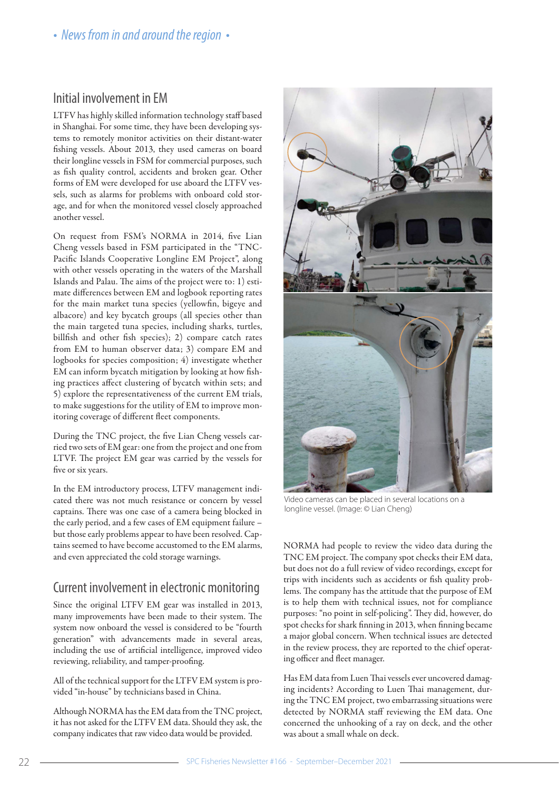### Initial involvement in EM

LTFV has highly skilled information technology staff based in Shanghai. For some time, they have been developing systems to remotely monitor activities on their distant-water fishing vessels. About 2013, they used cameras on board their longline vessels in FSM for commercial purposes, such as fish quality control, accidents and broken gear. Other forms of EM were developed for use aboard the LTFV vessels, such as alarms for problems with onboard cold storage, and for when the monitored vessel closely approached another vessel.

On request from FSM's NORMA in 2014, five Lian Cheng vessels based in FSM participated in the "TNC-Pacific Islands Cooperative Longline EM Project", along with other vessels operating in the waters of the Marshall Islands and Palau. The aims of the project were to: 1) estimate differences between EM and logbook reporting rates for the main market tuna species (yellowfin, bigeye and albacore) and key bycatch groups (all species other than the main targeted tuna species, including sharks, turtles, billfish and other fish species); 2) compare catch rates from EM to human observer data; 3) compare EM and logbooks for species composition; 4) investigate whether EM can inform bycatch mitigation by looking at how fishing practices affect clustering of bycatch within sets; and 5) explore the representativeness of the current EM trials, to make suggestions for the utility of EM to improve monitoring coverage of different fleet components.

During the TNC project, the five Lian Cheng vessels carried two sets of EM gear: one from the project and one from LTVF. The project EM gear was carried by the vessels for five or six years.

In the EM introductory process, LTFV management indicated there was not much resistance or concern by vessel captains. There was one case of a camera being blocked in the early period, and a few cases of EM equipment failure – but those early problems appear to have been resolved. Captains seemed to have become accustomed to the EM alarms, and even appreciated the cold storage warnings.

## Current involvement in electronic monitoring

Since the original LTFV EM gear was installed in 2013, many improvements have been made to their system. The system now onboard the vessel is considered to be "fourth generation" with advancements made in several areas, including the use of artificial intelligence, improved video reviewing, reliability, and tamper-proofing.

All of the technical support for the LTFV EM system is provided "in-house" by technicians based in China.

Although NORMA has the EM data from the TNC project, it has not asked for the LTFV EM data. Should they ask, the company indicates that raw video data would be provided.



Video cameras can be placed in several locations on a longline vessel. (Image: © Lian Cheng)

NORMA had people to review the video data during the TNC EM project. The company spot checks their EM data, but does not do a full review of video recordings, except for trips with incidents such as accidents or fish quality problems. The company has the attitude that the purpose of EM is to help them with technical issues, not for compliance purposes: "no point in self-policing". They did, however, do spot checks for shark finning in 2013, when finning became a major global concern. When technical issues are detected in the review process, they are reported to the chief operating officer and fleet manager.

Has EM data from Luen Thai vessels ever uncovered damaging incidents? According to Luen Thai management, during the TNC EM project, two embarrassing situations were detected by NORMA staff reviewing the EM data. One concerned the unhooking of a ray on deck, and the other was about a small whale on deck.